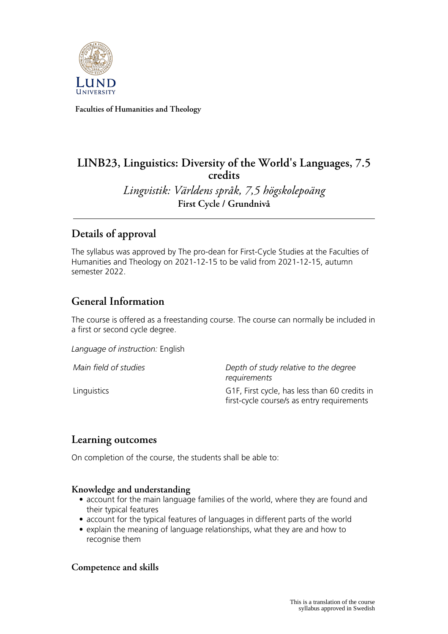

**Faculties of Humanities and Theology**

# **LINB23, Linguistics: Diversity of the World's Languages, 7.5 credits**

*Lingvistik: Världens språk, 7,5 högskolepoäng* **First Cycle / Grundnivå**

# **Details of approval**

The syllabus was approved by The pro-dean for First-Cycle Studies at the Faculties of Humanities and Theology on 2021-12-15 to be valid from 2021-12-15, autumn semester 2022.

## **General Information**

The course is offered as a freestanding course. The course can normally be included in a first or second cycle degree.

*Language of instruction:* English

*Main field of studies Depth of study relative to the degree requirements* Linguistics G1F, First cycle, has less than 60 credits in first-cycle course/s as entry requirements

### **Learning outcomes**

On completion of the course, the students shall be able to:

#### **Knowledge and understanding**

- account for the main language families of the world, where they are found and their typical features
- account for the typical features of languages in different parts of the world
- explain the meaning of language relationships, what they are and how to recognise them

### **Competence and skills**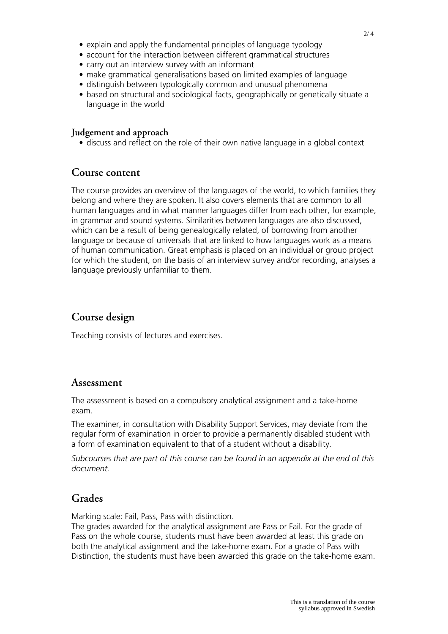- account for the interaction between different grammatical structures
- carry out an interview survey with an informant
- make grammatical generalisations based on limited examples of language
- distinguish between typologically common and unusual phenomena
- based on structural and sociological facts, geographically or genetically situate a language in the world

#### **Judgement and approach**

• discuss and reflect on the role of their own native language in a global context

#### **Course content**

The course provides an overview of the languages of the world, to which families they belong and where they are spoken. It also covers elements that are common to all human languages and in what manner languages differ from each other, for example, in grammar and sound systems. Similarities between languages are also discussed, which can be a result of being genealogically related, of borrowing from another language or because of universals that are linked to how languages work as a means of human communication. Great emphasis is placed on an individual or group project for which the student, on the basis of an interview survey and/or recording, analyses a language previously unfamiliar to them.

## **Course design**

Teaching consists of lectures and exercises.

### **Assessment**

The assessment is based on a compulsory analytical assignment and a take-home exam.

The examiner, in consultation with Disability Support Services, may deviate from the regular form of examination in order to provide a permanently disabled student with a form of examination equivalent to that of a student without a disability.

*Subcourses that are part of this course can be found in an appendix at the end of this document.*

### **Grades**

Marking scale: Fail, Pass, Pass with distinction.

The grades awarded for the analytical assignment are Pass or Fail. For the grade of Pass on the whole course, students must have been awarded at least this grade on both the analytical assignment and the take-home exam. For a grade of Pass with Distinction, the students must have been awarded this grade on the take-home exam.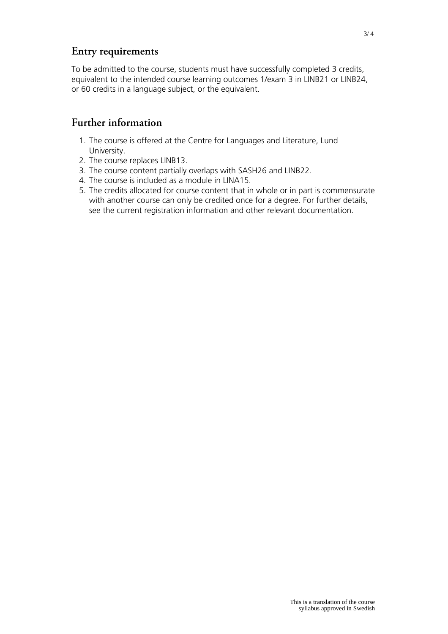### **Entry requirements**

To be admitted to the course, students must have successfully completed 3 credits, equivalent to the intended course learning outcomes 1/exam 3 in LINB21 or LINB24, or 60 credits in a language subject, or the equivalent.

### **Further information**

- 1. The course is offered at the Centre for Languages and Literature, Lund University.
- 2. The course replaces LINB13.
- 3. The course content partially overlaps with SASH26 and LINB22.
- 4. The course is included as a module in LINA15.
- 5. The credits allocated for course content that in whole or in part is commensurate with another course can only be credited once for a degree. For further details, see the current registration information and other relevant documentation.